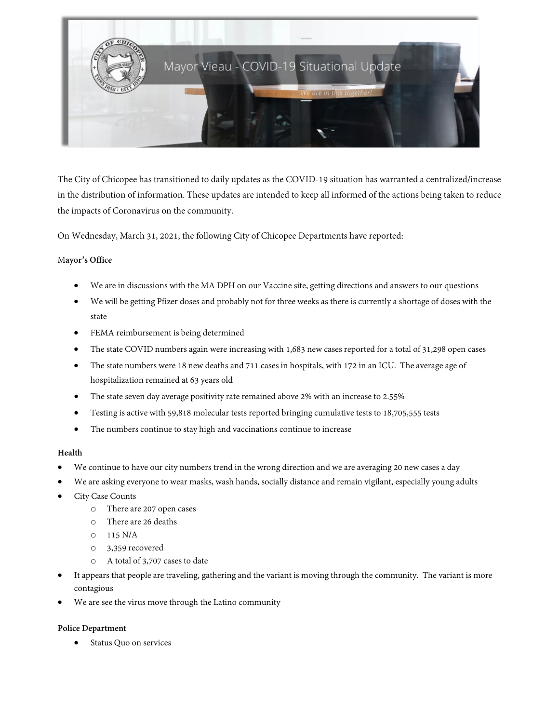

The City of Chicopee has transitioned to daily updates as the COVID-19 situation has warranted a centralized/increase in the distribution of information. These updates are intended to keep all informed of the actions being taken to reduce the impacts of Coronavirus on the community.

On Wednesday, March 31, 2021, the following City of Chicopee Departments have reported:

### M**ayor's Office**

- We are in discussions with the MA DPH on our Vaccine site, getting directions and answers to our questions
- We will be getting Pfizer doses and probably not for three weeks as there is currently a shortage of doses with the state
- FEMA reimbursement is being determined
- The state COVID numbers again were increasing with 1,683 new cases reported for a total of 31,298 open cases
- The state numbers were 18 new deaths and 711 cases in hospitals, with 172 in an ICU. The average age of hospitalization remained at 63 years old
- The state seven day average positivity rate remained above 2% with an increase to 2.55%
- Testing is active with 59,818 molecular tests reported bringing cumulative tests to 18,705,555 tests
- The numbers continue to stay high and vaccinations continue to increase

#### **Health**

- We continue to have our city numbers trend in the wrong direction and we are averaging 20 new cases a day
- We are asking everyone to wear masks, wash hands, socially distance and remain vigilant, especially young adults
- City Case Counts
	- o There are 207 open cases
	- o There are 26 deaths
	- $O = 115 N/A$
	- o 3,359 recovered
	- A total of 3,707 cases to date
- It appears that people are traveling, gathering and the variant is moving through the community. The variant is more contagious
- We are see the virus move through the Latino community

## **Police Department**

• Status Quo on services